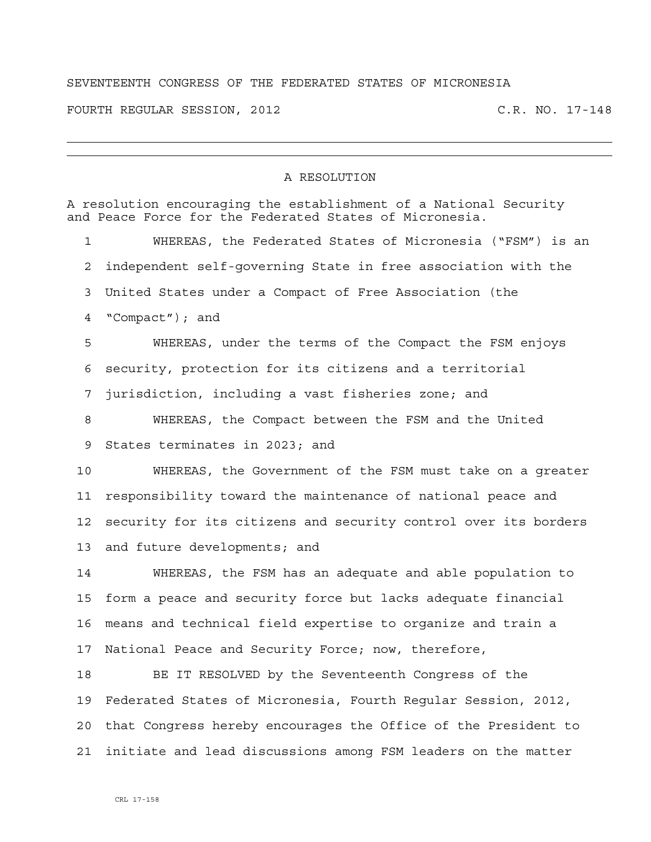## SEVENTEENTH CONGRESS OF THE FEDERATED STATES OF MICRONESIA

FOURTH REGULAR SESSION, 2012 C.R. NO. 17-148

## A RESOLUTION

| A resolution encouraging the establishment of a National Security<br>and Peace Force for the Federated States of Micronesia. |                                                                 |
|------------------------------------------------------------------------------------------------------------------------------|-----------------------------------------------------------------|
| 1                                                                                                                            | WHEREAS, the Federated States of Micronesia ("FSM") is an       |
| 2                                                                                                                            | independent self-qoverning State in free association with the   |
| 3                                                                                                                            | United States under a Compact of Free Association (the          |
| 4                                                                                                                            | "Compact"); and                                                 |
| 5                                                                                                                            | WHEREAS, under the terms of the Compact the FSM enjoys          |
| 6                                                                                                                            | security, protection for its citizens and a territorial         |
| 7                                                                                                                            | jurisdiction, including a vast fisheries zone; and              |
| 8                                                                                                                            | WHEREAS, the Compact between the FSM and the United             |
| 9                                                                                                                            | States terminates in 2023; and                                  |
| 10                                                                                                                           | WHEREAS, the Government of the FSM must take on a greater       |
| 11                                                                                                                           | responsibility toward the maintenance of national peace and     |
| 12                                                                                                                           | security for its citizens and security control over its borders |
| 13                                                                                                                           | and future developments; and                                    |
| 14                                                                                                                           | WHEREAS, the FSM has an adequate and able population to         |
| 15                                                                                                                           | form a peace and security force but lacks adequate financial    |
| 16                                                                                                                           | means and technical field expertise to organize and train a     |
| 17                                                                                                                           | National Peace and Security Force; now, therefore,              |
| 18                                                                                                                           | BE IT RESOLVED by the Seventeenth Congress of the               |
| 19                                                                                                                           | Federated States of Micronesia, Fourth Reqular Session, 2012,   |
| 20                                                                                                                           | that Congress hereby encourages the Office of the President to  |
| 21                                                                                                                           | initiate and lead discussions among FSM leaders on the matter   |
|                                                                                                                              |                                                                 |